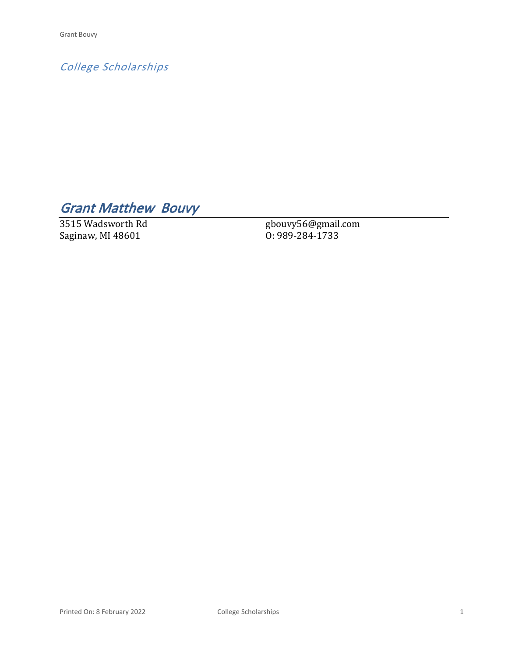*College Scholarships*

## *Grant Matthew Bouvy*

3515 Wadsworth Rd Saginaw, MI 48601

gbouvy56@gmail.com O: 989-284-1733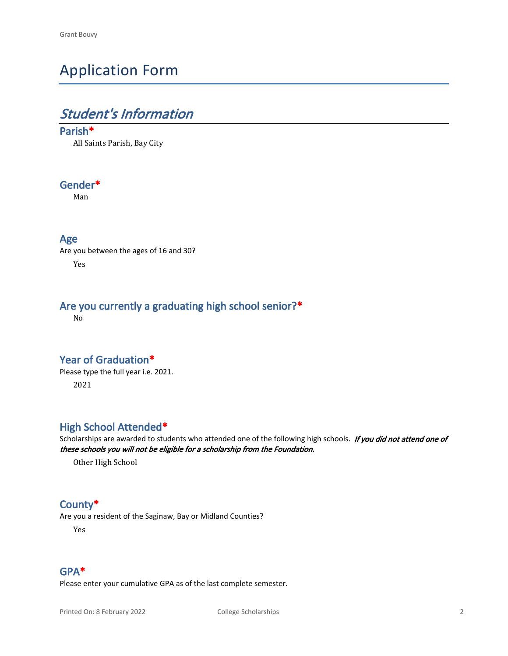## Application Form

### *Student's Information*

#### **Parish\***

All Saints Parish, Bay City

#### **Gender\***

Man

#### **Age**

Are you between the ages of 16 and 30? Yes

#### **Are you currently a graduating high school senior?\***

No

#### **Year of Graduation\***

Please type the full year i.e. 2021. 2021

#### **High School Attended\***

Scholarships are awarded to students who attended one of the following high schools. *If you did not attend one of these schools you will not be eligible for a scholarship from the Foundation.*

Other High School

#### **County\***

Are you a resident of the Saginaw, Bay or Midland Counties?

Yes

#### **GPA\***

Please enter your cumulative GPA as of the last complete semester.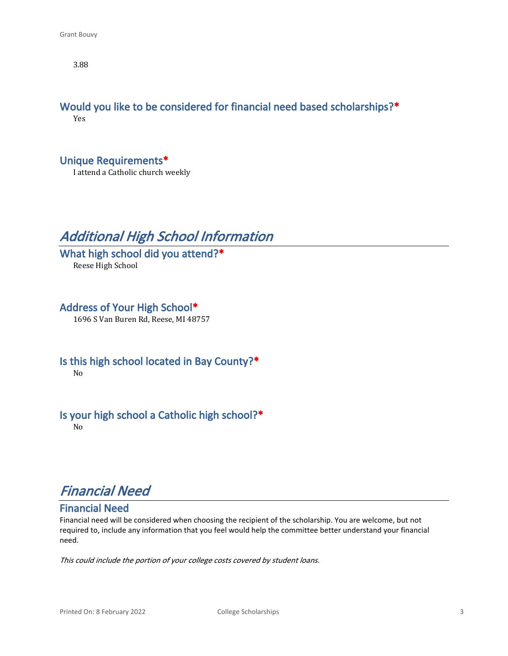3.88

#### **Would you like to be considered for financial need based scholarships?\*** Yes

**Unique Requirements\***

I attend a Catholic church weekly

### *Additional High School Information*

**What high school did you attend?\*** Reese High School

**Address of Your High School\*** 1696 S Van Buren Rd, Reese, MI 48757

**Is this high school located in Bay County?\*** No

### **Is your high school a Catholic high school?\***

No

### *Financial Need*

#### **Financial Need**

Financial need will be considered when choosing the recipient of the scholarship. You are welcome, but not required to, include any information that you feel would help the committee better understand your financial need.

*This could include the portion of your college costs covered by student loans.*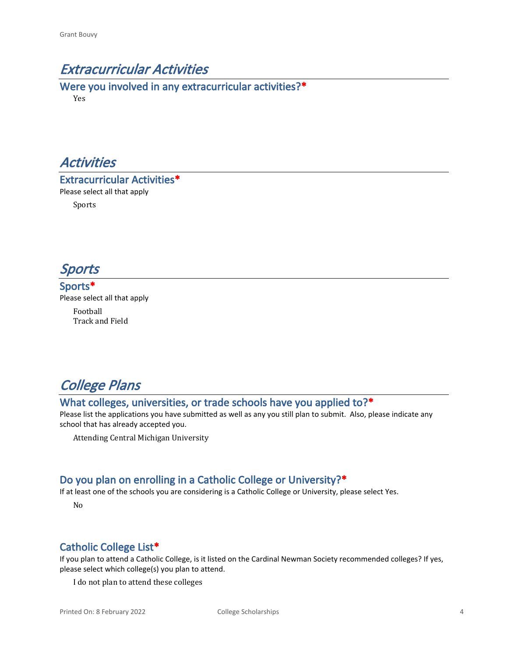### *Extracurricular Activities*

**Were you involved in any extracurricular activities?\*** Yes



**Extracurricular Activities\*** Please select all that apply

Sports



**Sports\*** Please select all that apply

> Football Track and Field

### *College Plans*

#### **What colleges, universities, or trade schools have you applied to?\***

Please list the applications you have submitted as well as any you still plan to submit. Also, please indicate any school that has already accepted you.

Attending Central Michigan University

#### **Do you plan on enrolling in a Catholic College or University?\***

If at least one of the schools you are considering is a Catholic College or University, please select Yes.

No

#### **Catholic College List\***

If you plan to attend a Catholic College, is it listed on the Cardinal Newman Society recommended colleges? If yes, please select which college(s) you plan to attend.

I do not plan to attend these colleges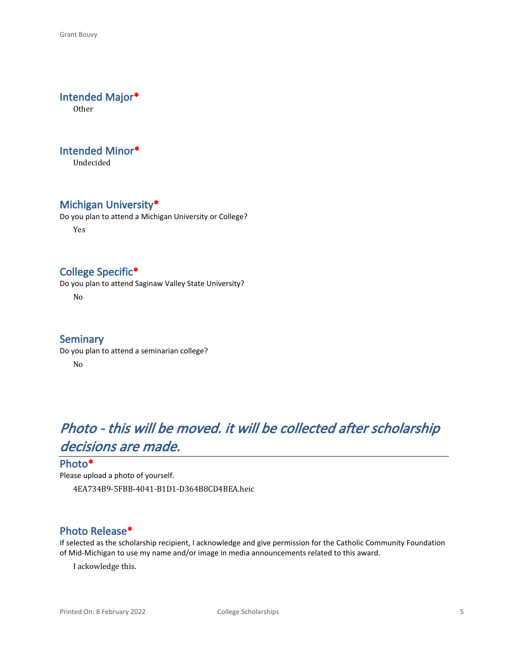#### **Intended Major\***

Other

#### **Intended Minor\***

Undecided

#### **Michigan University\***

Do you plan to attend a Michigan University or College? Yes

#### **College Specific\***

Do you plan to attend Saginaw Valley State University?

No

#### **Seminary**

Do you plan to attend a seminarian college? No

## *Photo - this will be moved. it will be collected after scholarship decisions are made.*

#### **Photo\***

Please upload a photo of yourself. 4EA734B9-5FBB-4041-B1D1-D364B8CD4BEA.heic

#### **Photo Release\***

If selected as the scholarship recipient, I acknowledge and give permission for the Catholic Community Foundation of Mid-Michigan to use my name and/or image in media announcements related to this award.

I ackowledge this.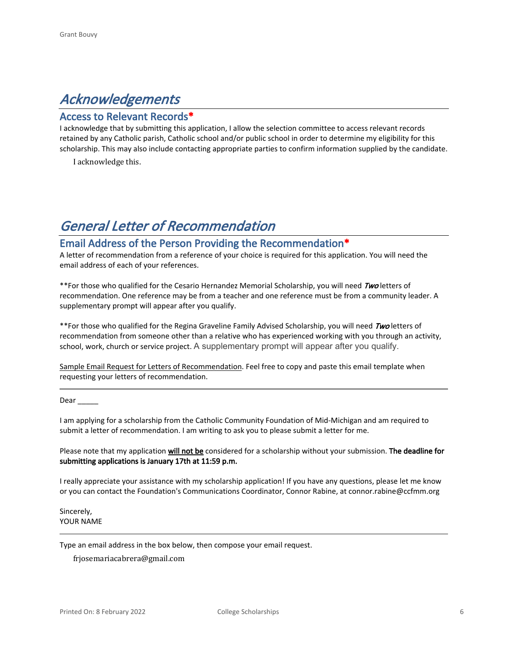### *Acknowledgements*

#### **Access to Relevant Records\***

I acknowledge that by submitting this application, I allow the selection committee to access relevant records retained by any Catholic parish, Catholic school and/or public school in order to determine my eligibility for this scholarship. This may also include contacting appropriate parties to confirm information supplied by the candidate.

I acknowledge this.

### *General Letter of Recommendation*

#### **Email Address of the Person Providing the Recommendation\***

A letter of recommendation from a reference of your choice is required for this application. You will need the email address of each of your references.

\*\*For those who qualified for the Cesario Hernandez Memorial Scholarship, you will need *Two* letters of recommendation. One reference may be from a teacher and one reference must be from a community leader. A supplementary prompt will appear after you qualify.

\*\*For those who qualified for the Regina Graveline Family Advised Scholarship, you will need *Two* letters of recommendation from someone other than a relative who has experienced working with you through an activity, school, work, church or service project. A supplementary prompt will appear after you qualify.

Sample Email Request for Letters of Recommendation. Feel free to copy and paste this email template when requesting your letters of recommendation.

Dear  $\_\_$ 

I am applying for a scholarship from the Catholic Community Foundation of Mid-Michigan and am required to submit a letter of recommendation. I am writing to ask you to please submit a letter for me.

Please note that my application **will not be** considered for a scholarship without your submission. **The deadline for submitting applications is January 17th at 11:59 p.m.**

I really appreciate your assistance with my scholarship application! If you have any questions, please let me know or you can contact the Foundation's Communications Coordinator, Connor Rabine, at connor.rabine@ccfmm.org

Sincerely, YOUR NAME

Type an email address in the box below, then compose your email request.

frjosemariacabrera@gmail.com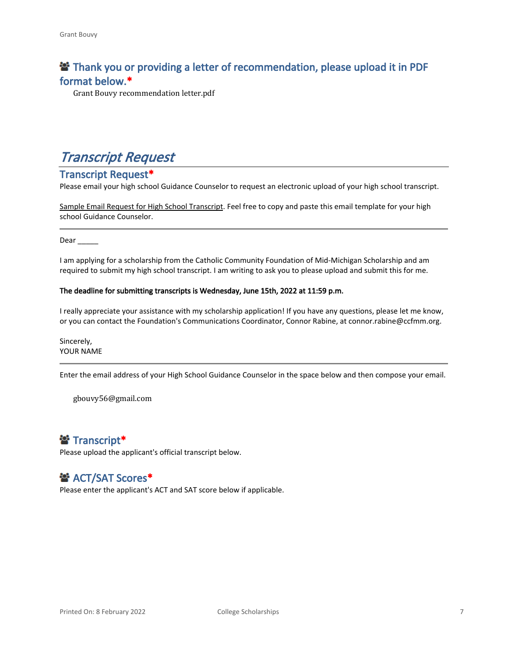### **<sup>2</sup> Thank you or providing a letter of recommendation, please upload it in PDF format below.\***

Grant Bouvy recommendation letter.pdf

### *Transcript Request*

#### **Transcript Request\***

Please email your high school Guidance Counselor to request an electronic upload of your high school transcript.

Sample Email Request for High School Transcript. Feel free to copy and paste this email template for your high school Guidance Counselor.

Dear  $\qquad$ 

I am applying for a scholarship from the Catholic Community Foundation of Mid-Michigan Scholarship and am required to submit my high school transcript. I am writing to ask you to please upload and submit this for me.

#### **The deadline for submitting transcripts is Wednesday, June 15th, 2022 at 11:59 p.m.**

I really appreciate your assistance with my scholarship application! If you have any questions, please let me know, or you can contact the Foundation's Communications Coordinator, Connor Rabine, at connor.rabine@ccfmm.org.

Sincerely, YOUR NAME

Enter the email address of your High School Guidance Counselor in the space below and then compose your email.

gbouvy56@gmail.com

#### **Transcript\***

Please upload the applicant's official transcript below.

#### $\mathbf{B}^*$  **ACT/SAT Scores\***

Please enter the applicant's ACT and SAT score below if applicable.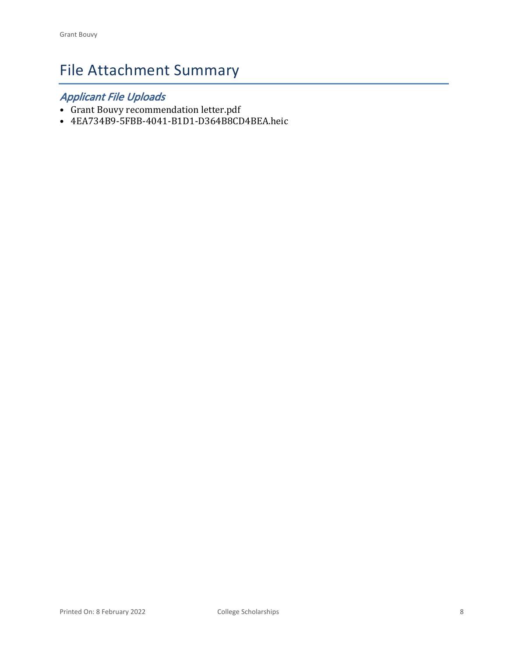# File Attachment Summary

### *Applicant File Uploads*

- Grant Bouvy recommendation letter.pdf
- 4EA734B9-5FBB-4041-B1D1-D364B8CD4BEA.heic